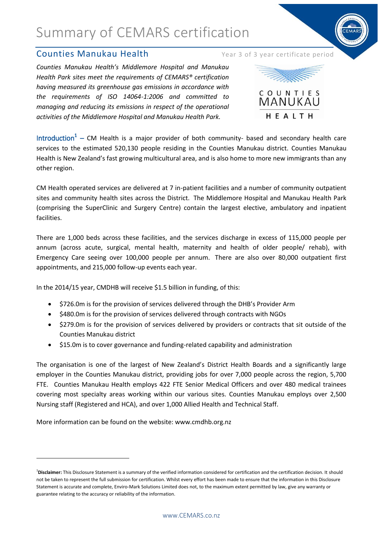### **Counties Manukau Health** Year 3 of 3 year certificate period

*Counties Manukau Health's Middlemore Hospital and Manukau Health Park sites meet the requirements of CEMARS® certification having measured its greenhouse gas emissions in accordance with the requirements of ISO 14064-1:2006 and committed to managing and reducing its emissions in respect of the operational activities of the Middlemore Hospital and Manukau Health Park.*





Introduction<sup>1</sup> – CM Health is a major provider of both community- based and secondary health care services to the estimated 520,130 people residing in the Counties Manukau district. Counties Manukau Health is New Zealand's fast growing multicultural area, and is also home to more new immigrants than any other region.

CM Health operated services are delivered at 7 in-patient facilities and a number of community outpatient sites and community health sites across the District. The Middlemore Hospital and Manukau Health Park (comprising the SuperClinic and Surgery Centre) contain the largest elective, ambulatory and inpatient facilities.

There are 1,000 beds across these facilities, and the services discharge in excess of 115,000 people per annum (across acute, surgical, mental health, maternity and health of older people/ rehab), with Emergency Care seeing over 100,000 people per annum. There are also over 80,000 outpatient first appointments, and 215,000 follow-up events each year.

In the 2014/15 year, CMDHB will receive \$1.5 billion in funding, of this:

- \$726.0m is for the provision of services delivered through the DHB's Provider Arm
- $\bullet$  \$480.0m is for the provision of services delivered through contracts with NGOs
- $\bullet$  \$279.0m is for the provision of services delivered by providers or contracts that sit outside of the Counties Manukau district
- \$15.0m is to cover governance and funding-related capability and administration

The organisation is one of the largest of New Zealand's District Health Boards and a significantly large employer in the Counties Manukau district, providing jobs for over 7,000 people across the region, 5,700 FTE. Counties Manukau Health employs 422 FTE Senior Medical Officers and over 480 medical trainees covering most specialty areas working within our various sites. Counties Manukau employs over 2,500 Nursing staff (Registered and HCA), and over 1,000 Allied Health and Technical Staff.

More information can be found on the website: www.cmdhb.org.nz

1

<sup>&</sup>lt;sup>1</sup>Disclaimer: This Disclosure Statement is a summary of the verified information considered for certification and the certification decision. It should not be taken to represent the full submission for certification. Whilst every effort has been made to ensure that the information in this Disclosure Statement is accurate and complete, Enviro-Mark Solutions Limited does not, to the maximum extent permitted by law, give any warranty or guarantee relating to the accuracy or reliability of the information.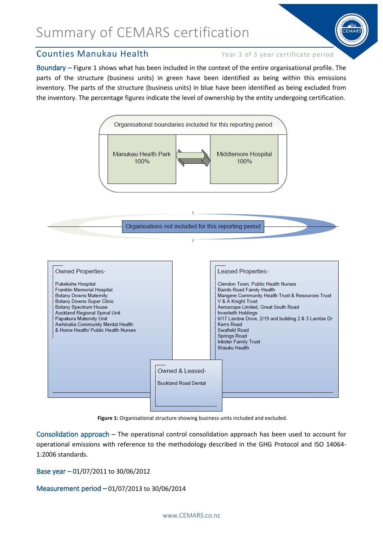

Boundary – Figure 1 shows what has been included in the context of the entire organisational profile. The parts of the structure (business units) in green have been identified as being within this emissions inventory. The parts of the structure (business units) in blue have been identified as being excluded from the inventory. The percentage figures indicate the level of ownership by the entity undergoing certification.



**Figure 1:** Organisational structure showing business units included and excluded.

Consolidation approach – The operational control consolidation approach has been used to account for operational emissions with reference to the methodology described in the GHG Protocol and ISO 14064- 1:2006 standards.

Base year – 01/07/2011 to 30/06/2012

Measurement period – 01/07/2013 to 30/06/2014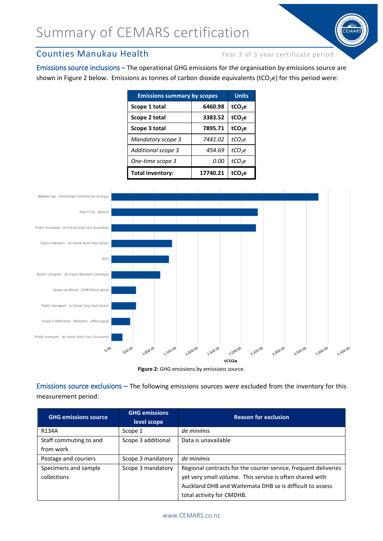## Counties Manukau Health Year 3 of 3 year certificate period

Emissions source inclusions **–** The operational GHG emissions for the organisation by emissions source are shown in Figure 2 below. Emissions as tonnes of carbon dioxide equivalents (tCO<sub>2</sub>e) for this period were:

| <b>Emissions summary by scopes</b> |          | <b>Units</b>       |
|------------------------------------|----------|--------------------|
| Scope 1 total                      | 6460.98  | tCO <sub>2</sub> e |
| Scope 2 total                      | 3383.52  | tCO <sub>2</sub> e |
| Scope 3 total                      | 7895.71  | tCO <sub>2</sub> e |
| <b>Mandatory scope 3</b>           | 7441.02  | tCO <sub>2</sub> e |
| Additional scope 3                 | 454.69   | tCO <sub>2</sub> e |
| One-time scope 3                   | 0.00     | tCO <sub>2</sub> e |
| <b>Total inventory:</b>            | 17740.21 | tCO <sub>2</sub> e |





Emissions source exclusions – The following emissions sources were excluded from the inventory for this measurement period:

| <b>GHG emissions source</b> | <b>GHG emissions</b><br>level scope | <b>Reason for exclusion</b>                                     |
|-----------------------------|-------------------------------------|-----------------------------------------------------------------|
| R134A                       | Scope 1                             | de minimis                                                      |
| Staff commuting to and      | Scope 3 additional                  | Data is unavailable                                             |
| from work                   |                                     |                                                                 |
| Postage and couriers        | Scope 3 mandatory                   | de minimis                                                      |
| Specimens and sample        | Scope 3 mandatory                   | Regional contracts for the courier service, frequent deliveries |
| collections                 |                                     | yet very small volume. This service is often shared with        |
|                             |                                     | Auckland DHB and Waitemata DHB so is difficult to assess        |
|                             |                                     | total activity for CMDHB.                                       |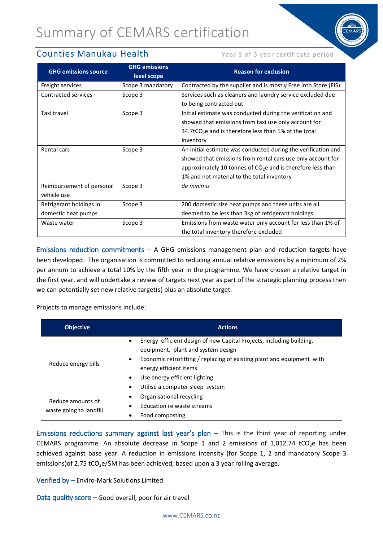### **Counties Manukau Health** Year 3 of 3 year certificate period

| <b>GHG emissions source</b> | <b>GHG emissions</b><br>level scope | <b>Reason for exclusion</b>                                             |  |
|-----------------------------|-------------------------------------|-------------------------------------------------------------------------|--|
| Freight services            | Scope 3 mandatory                   | Contracted by the supplier and is mostly Free Into Store (FIS)          |  |
| Contracted services         | Scope 3                             | Services such as cleaners and laundry service excluded due              |  |
|                             |                                     | to being contracted out                                                 |  |
| Taxi travel                 | Scope 3                             | Initial estimate was conducted during the verification and              |  |
|                             |                                     | showed that emissions from taxi use only account for                    |  |
|                             |                                     | 34.7tCO <sub>2</sub> e and is therefore less than 1% of the total       |  |
|                             |                                     | inventory                                                               |  |
| Rental cars                 | Scope 3                             | An initial estimate was conducted during the verification and           |  |
|                             |                                     | showed that emissions from rental cars use only account for             |  |
|                             |                                     | approximately 10 tonnes of CO <sub>2</sub> e and is therefore less than |  |
|                             |                                     | 1% and not material to the total inventory                              |  |
| Reimbursement of personal   | Scope 3                             | de minimis                                                              |  |
| vehicle use                 |                                     |                                                                         |  |
| Refrigerant holdings in     | Scope 3                             | 200 domestic size heat pumps and these units are all                    |  |
| domestic heat pumps         |                                     | deemed to be less than 3kg of refrigerant holdings                      |  |
| Waste water                 | Scope 3                             | Emissions from waste water only account for less than 1% of             |  |
|                             |                                     | the total inventory therefore excluded                                  |  |

Emissions reduction commitments  $-$  A GHG emissions management plan and reduction targets have been developed. The organisation is committed to reducing annual relative emissions by a minimum of 2% per annum to achieve a total 10% by the fifth year in the programme. We have chosen a relative target in the first year, and will undertake a review of targets next year as part of the strategic planning process then we can potentially set new relative target(s) plus an absolute target.

Projects to manage emissions include:

| <b>Objective</b>                             | <b>Actions</b>                                                                                                                                                                                                                                                                                                         |  |  |
|----------------------------------------------|------------------------------------------------------------------------------------------------------------------------------------------------------------------------------------------------------------------------------------------------------------------------------------------------------------------------|--|--|
| Reduce energy bills                          | Energy efficient design of new Capital Projects, including building,<br>$\bullet$<br>equipment, plant and system design<br>Economic retrofitting / replacing of existing plant and equipment with<br>٠<br>energy efficient items<br>Use energy efficient lighting<br>$\bullet$<br>Utilise a computer sleep system<br>٠ |  |  |
| Reduce amounts of<br>waste going to landfill | Organisational recycling<br>Education re waste streams<br>Food composting                                                                                                                                                                                                                                              |  |  |

Emissions reductions summary against last year's plan – This is the third year of reporting under CEMARS programme. An absolute decrease in Scope 1 and 2 emissions of  $1,012.74$  tCO<sub>2</sub>e has been achieved against base year. A reduction in emissions intensity (for Scope 1, 2 and mandatory Scope 3 emissions) of 2.75 tCO<sub>2</sub>e/\$M has been achieved; based upon a 3 year rolling average.

Verified by – Enviro-Mark Solutions Limited

Data quality score – Good overall, poor for air travel